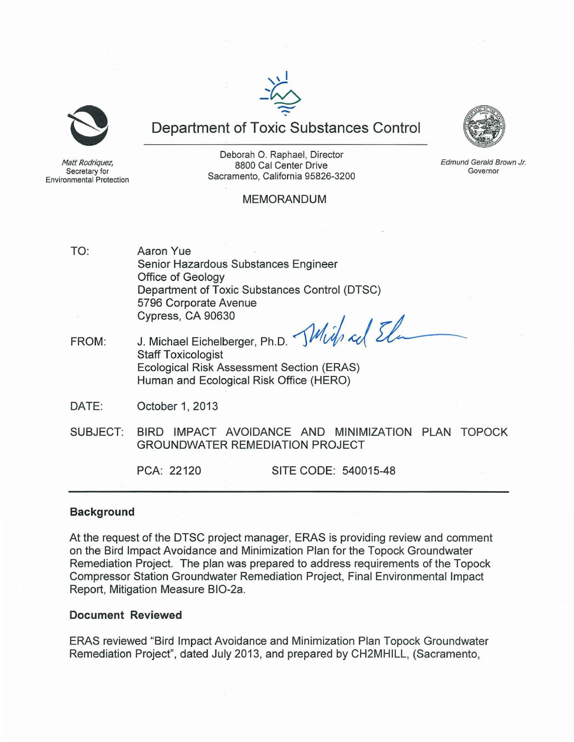



**Department of Toxic Substances Control** 



**Edmund Gerald Brown Jr. Governor** 

Matt Rodriquez, **Secretary for Environmental Protection** 

Deborah O. Raphael, Director 8800 Cal Center Drive Sacramento, California 95826-3200

# MEMORANDUM

- TO: Aaron Yue Senior Hazardous Substances Engineer Office of Geology Department of Toxic Substances Control (DTSC) 5796 Corporate Avenue Office of Geology<br>Department of Toxic Substances Control (DTSC)<br>6796 Corporate Avenue<br>Cypress, CA 90630 Cypress, CA 90630<br>J. Michael Eichelberger, Ph.D.  $\mathcal{M}(\hat{U})$  col
- FROM: Staff Toxicologist Ecological Risk Assessment Section (ERAS) Human and Ecological Risk Office (HERO)
- DATE: October 1, 2013
- SUBJECT: BIRD IMPACT AVOIDANCE AND MINIMIZATION PLAN TOPOCK GROUNDWATER REMEDIATION PROJECT

PCA: 22120 SITE CODE: 540015-48

#### **Background**

At the request of the DTSC project manager, ERAS is providing review and comment on the Bird Impact Avoidance and Minimization Plan for the Topock Groundwater Remediation Project. The plan was prepared to address requirements of the Topock Compressor Station Groundwater Remediation Project, Final Environmental Impact Report, Mitigation Measure BI0-2a.

#### **Document Reviewed**

ERAS reviewed "Bird Impact Avoidance and Minimization Plan Topock Groundwater Remediation Project", dated July 2013, and prepared by CH2MHILL, (Sacramento,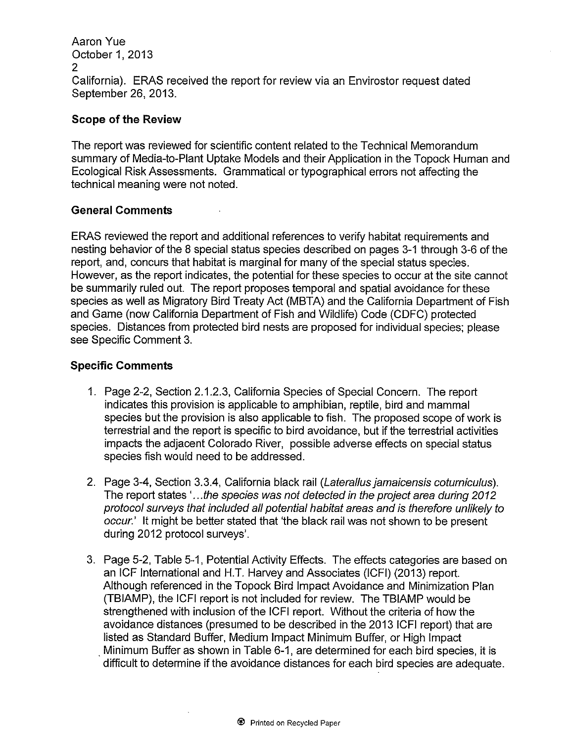Aaron Vue October 1, 2013 2 California). ERAS received the report for review via an Envirostor request dated September 26, 2013.

# **Scope of the Review**

The report was reviewed for scientific content related to the Technical Memorandum summary of Media-to-Plant Uptake Models and their Application in the Topock Human and Ecological Risk Assessments. Grammatical or typographical errors not affecting the technical meaning were not noted.

# **General Comments**

ERAS reviewed the report and additional references to verify habitat requirements and nesting behavior of the 8 special status species described on pages 3-1 through 3-6 of the report, and, concurs that habitat is marginal for many of the special status species. However, as the report indicates, the potential for these species to occur at the site cannot be summarily ruled out. The report proposes temporal and spatial avoidance for these species as well as Migratory Bird Treaty Act (MBTA) and the California Department of Fish and Game (now California Department of Fish and Wildlife) Code (CDFC) protected species. Distances from protected bird nests are proposed for individual species; please see Specific Comment 3.

# **Specific Comments**

- 1. Page 2-2, Section 2.1.2.3, California Species of Special Concern. The report indicates this provision is applicable to amphibian, reptile, bird and mammal species but the provision is also applicable to fish. The proposed scope of work is terrestrial and the report is specific to bird avoidance, but if the terrestrial activities impacts the adjacent Colorado River, possible adverse effects on special status species fish would need to be addressed.
- 2. Page 3-4, Section 3.3.4, California black rail (Laterallus jamaicensis coturniculus). The report states '...the species was not detected in the project area during 2012 protocol surveys that included aI/ potential habitat areas and is therefore unlikely to occur.' It might be better stated that 'the black rail was not shown to be present during 2012 protocol surveys'.
- 3. Page 5-2, Table 5-1, Potential Activity Effects. The effects categories are based on an ICF Intemational and H.T. Harvey and Associates (ICFI) (2013) report. Although referenced in the Topock Bird Impact Avoidance and Minimization Plan (TBIAMP), the ICFI report is not included for review. The TBIAMP would be strengthened with inclusion of the ICFI report. Without the criteria of how the avoidance distances (presumed to be described in the 2013 ICFI report) that are listed as Standard Buffer, Medium Impact Minimum Buffer, or High Impact . Minimum Buffer as shown in Table 6-1, are determined for each bird species, it is difficult to determine if the avoidance distances for each bird species are adequate.